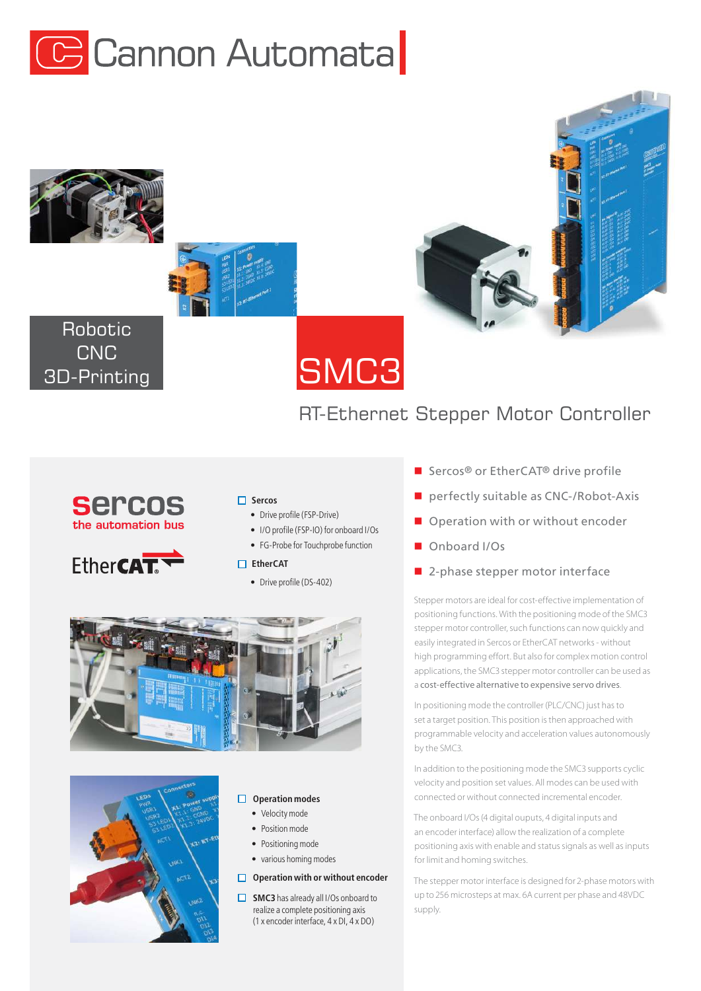







# Robotic **CNC** 3D-Printing

# RT-Ethernet Stepper Motor Controller





## **Sercos**

- Drive profile (FSP-Drive)
- I/O profile (FSP-IO) for onboard I/Os
- FG-Probe for Touchprobe function



• Drive profile (DS-402)





#### **Operation modes**

- Velocity mode
- Position mode
- Positioning mode
- various homing modes

#### **Operation with or without encoder**

**SMC3** has already all I/Os onboard to realize a complete positioning axis (1 x encoder interface, 4 x DI, 4 x DO)

- Sercos<sup>®</sup> or EtherCAT<sup>®</sup> drive profile
- perfectly suitable as CNC-/Robot-Axis
- Operation with or without encoder
- Onboard I/Os
- 2-phase stepper motor interface

Stepper motors are ideal for cost-effective implementation of positioning functions. With the positioning mode of the SMC3 stepper motor controller, such functions can now quickly and easily integrated in Sercos or EtherCAT networks - without high programming effort. But also for complex motion control applications, the SMC3 stepper motor controller can be used as a cost-effective alternative to expensive servo drives.

In positioning mode the controller (PLC/CNC) just has to set a target position. This position is then approached with programmable velocity and acceleration values autonomously by the SMC3.

In addition to the positioning mode the SMC3 supports cyclic velocity and position set values. All modes can be used with connected or without connected incremental encoder.

The onboard I/Os (4 digital ouputs, 4 digital inputs and an encoder interface) allow the realization of a complete positioning axis with enable and status signals as well as inputs for limit and homing switches.

The stepper motor interface is designed for 2-phase motors with up to 256 microsteps at max. 6A current per phase and 48VDC supply.